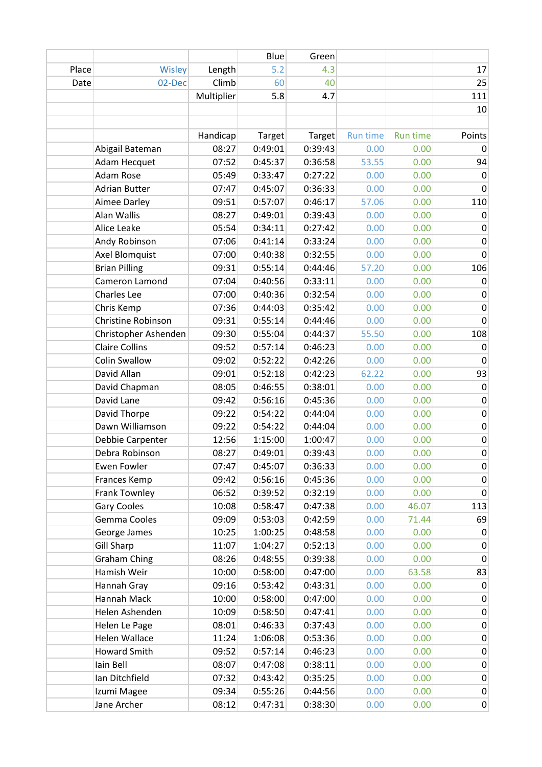|       |                       |            | Blue    | Green   |          |                 |                  |
|-------|-----------------------|------------|---------|---------|----------|-----------------|------------------|
| Place | Wisley                | Length     | 5.2     | 4.3     |          |                 | 17               |
| Date  | 02-Dec                | Climb      | 60      | 40      |          |                 | 25               |
|       |                       | Multiplier | 5.8     | 4.7     |          |                 | 111              |
|       |                       |            |         |         |          |                 | 10               |
|       |                       |            |         |         |          |                 |                  |
|       |                       | Handicap   | Target  | Target  | Run time | <b>Run time</b> | Points           |
|       | Abigail Bateman       | 08:27      | 0:49:01 | 0:39:43 | 0.00     | 0.00            | 0                |
|       | Adam Hecquet          | 07:52      | 0:45:37 | 0:36:58 | 53.55    | 0.00            | 94               |
|       | Adam Rose             | 05:49      | 0:33:47 | 0:27:22 | 0.00     | 0.00            | 0                |
|       | <b>Adrian Butter</b>  | 07:47      | 0:45:07 | 0:36:33 | 0.00     | 0.00            | 0                |
|       | Aimee Darley          | 09:51      | 0:57:07 | 0:46:17 | 57.06    | 0.00            | 110              |
|       | Alan Wallis           | 08:27      | 0:49:01 | 0:39:43 | 0.00     | 0.00            | 0                |
|       | Alice Leake           | 05:54      | 0:34:11 | 0:27:42 | 0.00     | 0.00            | $\pmb{0}$        |
|       | Andy Robinson         | 07:06      | 0:41:14 | 0:33:24 | 0.00     | 0.00            | $\boldsymbol{0}$ |
|       | Axel Blomquist        | 07:00      | 0:40:38 | 0:32:55 | 0.00     | 0.00            | $\mathbf 0$      |
|       | <b>Brian Pilling</b>  | 09:31      | 0:55:14 | 0:44:46 | 57.20    | 0.00            | 106              |
|       | Cameron Lamond        | 07:04      | 0:40:56 | 0:33:11 | 0.00     | 0.00            | 0                |
|       | Charles Lee           | 07:00      | 0:40:36 | 0:32:54 | 0.00     | 0.00            | $\pmb{0}$        |
|       | Chris Kemp            | 07:36      | 0:44:03 | 0:35:42 | 0.00     | 0.00            | $\boldsymbol{0}$ |
|       | Christine Robinson    | 09:31      | 0:55:14 | 0:44:46 | 0.00     | 0.00            | 0                |
|       | Christopher Ashenden  | 09:30      | 0:55:04 | 0:44:37 | 55.50    | 0.00            | 108              |
|       | <b>Claire Collins</b> | 09:52      | 0:57:14 | 0:46:23 | 0.00     | 0.00            | $\mathbf 0$      |
|       | <b>Colin Swallow</b>  | 09:02      | 0:52:22 | 0:42:26 | 0.00     | 0.00            | $\pmb{0}$        |
|       | David Allan           | 09:01      | 0:52:18 | 0:42:23 | 62.22    | 0.00            | 93               |
|       | David Chapman         | 08:05      | 0:46:55 | 0:38:01 | 0.00     | 0.00            | $\pmb{0}$        |
|       | David Lane            | 09:42      | 0:56:16 | 0:45:36 | 0.00     | 0.00            | $\pmb{0}$        |
|       | David Thorpe          | 09:22      | 0:54:22 | 0:44:04 | 0.00     | 0.00            | $\pmb{0}$        |
|       | Dawn Williamson       | 09:22      | 0:54:22 | 0:44:04 | 0.00     | 0.00            | $\pmb{0}$        |
|       | Debbie Carpenter      | 12:56      | 1:15:00 | 1:00:47 | 0.00     | 0.00            | $\pmb{0}$        |
|       | Debra Robinson        | 08:27      | 0:49:01 | 0:39:43 | 0.00     | 0.00            | $\boldsymbol{0}$ |
|       | Ewen Fowler           | 07:47      | 0:45:07 | 0:36:33 | 0.00     | 0.00            | 0                |
|       | Frances Kemp          | 09:42      | 0:56:16 | 0:45:36 | 0.00     | 0.00            | $\mathbf 0$      |
|       | Frank Townley         | 06:52      | 0:39:52 | 0:32:19 | 0.00     | 0.00            | $\pmb{0}$        |
|       | <b>Gary Cooles</b>    | 10:08      | 0:58:47 | 0:47:38 | 0.00     | 46.07           | 113              |
|       | Gemma Cooles          | 09:09      | 0:53:03 | 0:42:59 | 0.00     | 71.44           | 69               |
|       | George James          | 10:25      | 1:00:25 | 0:48:58 | 0.00     | 0.00            | 0                |
|       | <b>Gill Sharp</b>     | 11:07      | 1:04:27 | 0:52:13 | 0.00     | 0.00            | $\pmb{0}$        |
|       | <b>Graham Ching</b>   | 08:26      | 0:48:55 | 0:39:38 | 0.00     | 0.00            | $\mathbf 0$      |
|       | Hamish Weir           | 10:00      | 0:58:00 | 0:47:00 | 0.00     | 63.58           | 83               |
|       | Hannah Gray           | 09:16      | 0:53:42 | 0:43:31 | 0.00     | 0.00            | $\mathbf 0$      |
|       | Hannah Mack           | 10:00      | 0:58:00 | 0:47:00 | 0.00     | 0.00            | $\mathbf 0$      |
|       | Helen Ashenden        | 10:09      | 0:58:50 | 0:47:41 | 0.00     | 0.00            | $\pmb{0}$        |
|       | Helen Le Page         | 08:01      | 0:46:33 | 0:37:43 | 0.00     | 0.00            | $\pmb{0}$        |
|       | Helen Wallace         | 11:24      | 1:06:08 | 0:53:36 | 0.00     | 0.00            | 0                |
|       | Howard Smith          | 09:52      | 0:57:14 | 0:46:23 | 0.00     | 0.00            | 0                |
|       | Iain Bell             | 08:07      | 0:47:08 | 0:38:11 | 0.00     | 0.00            | $\pmb{0}$        |
|       | Ian Ditchfield        | 07:32      | 0:43:42 | 0:35:25 | 0.00     | 0.00            | $\pmb{0}$        |
|       | Izumi Magee           | 09:34      | 0:55:26 | 0:44:56 | 0.00     | 0.00            | $\pmb{0}$        |
|       | Jane Archer           | 08:12      | 0:47:31 | 0:38:30 | 0.00     | 0.00            | $\overline{0}$   |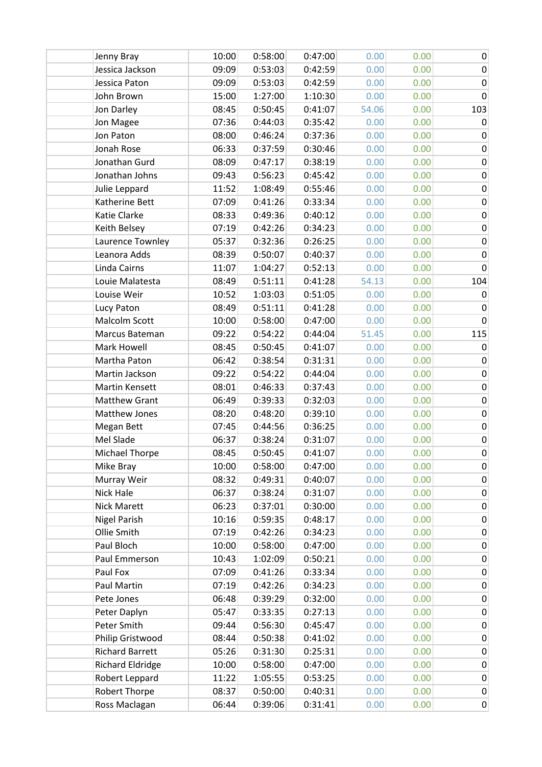| Jenny Bray              | 10:00 | 0:58:00 | 0:47:00 | 0.00  | 0.00 | $\mathbf 0$ |
|-------------------------|-------|---------|---------|-------|------|-------------|
| Jessica Jackson         | 09:09 | 0:53:03 | 0:42:59 | 0.00  | 0.00 | $\pmb{0}$   |
| Jessica Paton           | 09:09 | 0:53:03 | 0:42:59 | 0.00  | 0.00 | $\mathbf 0$ |
| John Brown              | 15:00 | 1:27:00 | 1:10:30 | 0.00  | 0.00 | $\mathbf 0$ |
| Jon Darley              | 08:45 | 0:50:45 | 0:41:07 | 54.06 | 0.00 | 103         |
| Jon Magee               | 07:36 | 0:44:03 | 0:35:42 | 0.00  | 0.00 | $\mathbf 0$ |
| Jon Paton               | 08:00 | 0:46:24 | 0:37:36 | 0.00  | 0.00 | $\pmb{0}$   |
| Jonah Rose              | 06:33 | 0:37:59 | 0:30:46 | 0.00  | 0.00 | $\mathbf 0$ |
| Jonathan Gurd           | 08:09 | 0:47:17 | 0:38:19 | 0.00  | 0.00 | $\pmb{0}$   |
| Jonathan Johns          | 09:43 | 0:56:23 | 0:45:42 | 0.00  | 0.00 | $\mathbf 0$ |
| Julie Leppard           | 11:52 | 1:08:49 | 0:55:46 | 0.00  | 0.00 | $\pmb{0}$   |
| Katherine Bett          | 07:09 | 0:41:26 | 0:33:34 | 0.00  | 0.00 | $\pmb{0}$   |
| Katie Clarke            | 08:33 | 0:49:36 | 0:40:12 | 0.00  | 0.00 | $\mathbf 0$ |
| Keith Belsey            | 07:19 | 0:42:26 | 0:34:23 | 0.00  | 0.00 | $\mathbf 0$ |
| Laurence Townley        | 05:37 | 0:32:36 | 0:26:25 | 0.00  | 0.00 | $\mathbf 0$ |
| Leanora Adds            | 08:39 | 0:50:07 | 0:40:37 | 0.00  | 0.00 | $\pmb{0}$   |
| Linda Cairns            | 11:07 | 1:04:27 | 0:52:13 | 0.00  | 0.00 | $\mathbf 0$ |
| Louie Malatesta         | 08:49 | 0:51:11 | 0:41:28 | 54.13 | 0.00 | 104         |
| Louise Weir             | 10:52 | 1:03:03 | 0:51:05 | 0.00  | 0.00 | 0           |
| Lucy Paton              | 08:49 | 0:51:11 | 0:41:28 | 0.00  | 0.00 | 0           |
| Malcolm Scott           | 10:00 | 0:58:00 | 0:47:00 | 0.00  | 0.00 | 0           |
| Marcus Bateman          | 09:22 | 0:54:22 | 0:44:04 | 51.45 | 0.00 | 115         |
| Mark Howell             | 08:45 | 0:50:45 | 0:41:07 | 0.00  | 0.00 | $\mathbf 0$ |
| Martha Paton            | 06:42 | 0:38:54 | 0:31:31 | 0.00  | 0.00 | $\pmb{0}$   |
| Martin Jackson          | 09:22 | 0:54:22 | 0:44:04 | 0.00  | 0.00 | $\pmb{0}$   |
| Martin Kensett          | 08:01 | 0:46:33 | 0:37:43 | 0.00  | 0.00 | $\pmb{0}$   |
| <b>Matthew Grant</b>    | 06:49 | 0:39:33 | 0:32:03 | 0.00  | 0.00 | $\pmb{0}$   |
| Matthew Jones           | 08:20 | 0:48:20 | 0:39:10 | 0.00  | 0.00 | $\pmb{0}$   |
| Megan Bett              | 07:45 | 0:44:56 | 0:36:25 | 0.00  | 0.00 | $\mathbf 0$ |
| Mel Slade               | 06:37 | 0:38:24 | 0:31:07 | 0.00  | 0.00 | $\pmb{0}$   |
| <b>Michael Thorpe</b>   | 08:45 | 0:50:45 | 0:41:07 | 0.00  | 0.00 | $\pmb{0}$   |
| Mike Bray               | 10:00 | 0:58:00 | 0:47:00 | 0.00  | 0.00 | 0           |
| Murray Weir             | 08:32 | 0:49:31 | 0:40:07 | 0.00  | 0.00 | $\mathbf 0$ |
| <b>Nick Hale</b>        | 06:37 | 0:38:24 | 0:31:07 | 0.00  | 0.00 | $\mathbf 0$ |
| Nick Marett             | 06:23 | 0:37:01 | 0:30:00 | 0.00  | 0.00 | 0           |
| <b>Nigel Parish</b>     | 10:16 | 0:59:35 | 0:48:17 | 0.00  | 0.00 | $\pmb{0}$   |
| Ollie Smith             | 07:19 | 0:42:26 | 0:34:23 | 0.00  | 0.00 | $\pmb{0}$   |
| Paul Bloch              | 10:00 | 0:58:00 | 0:47:00 | 0.00  | 0.00 | $\pmb{0}$   |
| Paul Emmerson           | 10:43 | 1:02:09 | 0:50:21 | 0.00  | 0.00 | $\mathbf 0$ |
| Paul Fox                | 07:09 | 0:41:26 | 0:33:34 | 0.00  | 0.00 | $\pmb{0}$   |
| Paul Martin             | 07:19 | 0:42:26 | 0:34:23 | 0.00  | 0.00 | $\mathbf 0$ |
| Pete Jones              | 06:48 | 0:39:29 | 0:32:00 | 0.00  | 0.00 | $\pmb{0}$   |
| Peter Daplyn            | 05:47 | 0:33:35 | 0:27:13 | 0.00  | 0.00 | $\pmb{0}$   |
| Peter Smith             | 09:44 | 0:56:30 | 0:45:47 | 0.00  | 0.00 | $\pmb{0}$   |
| Philip Gristwood        | 08:44 | 0:50:38 | 0:41:02 | 0.00  | 0.00 | $\pmb{0}$   |
| <b>Richard Barrett</b>  | 05:26 | 0:31:30 | 0:25:31 | 0.00  | 0.00 | $\mathbf 0$ |
| <b>Richard Eldridge</b> | 10:00 | 0:58:00 | 0:47:00 | 0.00  | 0.00 | $\pmb{0}$   |
| Robert Leppard          | 11:22 | 1:05:55 | 0:53:25 | 0.00  | 0.00 | $\mathbf 0$ |
| Robert Thorpe           | 08:37 | 0:50:00 | 0:40:31 | 0.00  | 0.00 | $\pmb{0}$   |
| Ross Maclagan           | 06:44 | 0:39:06 | 0:31:41 | 0.00  | 0.00 | $\pmb{0}$   |